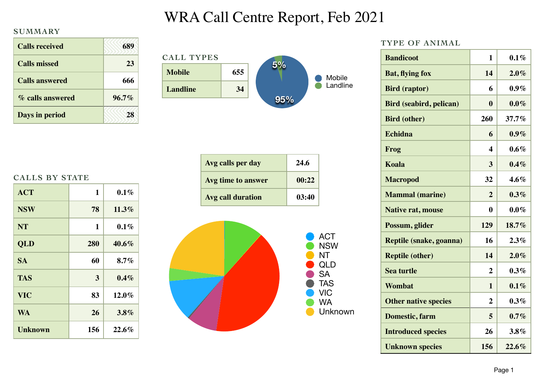## WRA Call Centre Report, Feb 2021

## **SUMMARY**

| <b>Calls received</b> | 689      |
|-----------------------|----------|
| <b>Calls missed</b>   | 23       |
| <b>Calls answered</b> | 666      |
| % calls answered      | $96.7\%$ |
| Days in period        |          |

| <b>CALL TYPES</b> |     |     |          |
|-------------------|-----|-----|----------|
| <b>Mobile</b>     | 655 | 5%  | Mobile   |
| Landline          | 34  |     | Landline |
|                   |     | 95% |          |

|  | <b>CALLS BY STATE</b> |
|--|-----------------------|
|  |                       |

| <b>ACT</b>     | 1   | $0.1\%$  |
|----------------|-----|----------|
| <b>NSW</b>     | 78  | $11.3\%$ |
| <b>NT</b>      | 1   | $0.1\%$  |
| <b>QLD</b>     | 280 | $40.6\%$ |
| <b>SA</b>      | 60  | 8.7%     |
| <b>TAS</b>     | 3   | $0.4\%$  |
| <b>VIC</b>     | 83  | $12.0\%$ |
| <b>WA</b>      | 26  | $3.8\%$  |
| <b>Unknown</b> | 156 | $22.6\%$ |

| Avg calls per day  | 24.6  |
|--------------------|-------|
| Avg time to answer | 00:22 |
| Avg call duration  | 03:40 |



| <b>ACT</b> |
|------------|
| NSW        |
| NT         |
| QLD        |
| SA         |
| <b>TAS</b> |
| VIC        |
| WA         |
| Unknown    |
|            |

| TYPE OF ANIMAL                 |                         |          |  |
|--------------------------------|-------------------------|----------|--|
| <b>Bandicoot</b>               | 1                       | $0.1\%$  |  |
| <b>Bat, flying fox</b>         | 14                      | 2.0%     |  |
| <b>Bird</b> (raptor)           | 6                       | $0.9\%$  |  |
| <b>Bird (seabird, pelican)</b> | $\bf{0}$                | $0.0\%$  |  |
| <b>Bird (other)</b>            | 260                     | 37.7%    |  |
| Echidna                        | 6                       | $0.9\%$  |  |
| Frog                           | $\overline{\mathbf{4}}$ | $0.6\%$  |  |
| <b>Koala</b>                   | 3                       | $0.4\%$  |  |
| <b>Macropod</b>                | 32                      | $4.6\%$  |  |
| <b>Mammal</b> (marine)         | $\overline{2}$          | $0.3\%$  |  |
| <b>Native rat, mouse</b>       | 0                       | $0.0\%$  |  |
| Possum, glider                 | 129                     | 18.7%    |  |
| Reptile (snake, goanna)        | 16                      | 2.3%     |  |
| <b>Reptile (other)</b>         | 14                      | 2.0%     |  |
| <b>Sea turtle</b>              | $\overline{2}$          | $0.3\%$  |  |
| Wombat                         | 1                       | 0.1%     |  |
| <b>Other native species</b>    | $\overline{2}$          | $0.3\%$  |  |
| Domestic, farm                 | 5                       | $0.7\%$  |  |
| <b>Introduced species</b>      | 26                      | 3.8%     |  |
| <b>Unknown species</b>         | 156                     | $22.6\%$ |  |